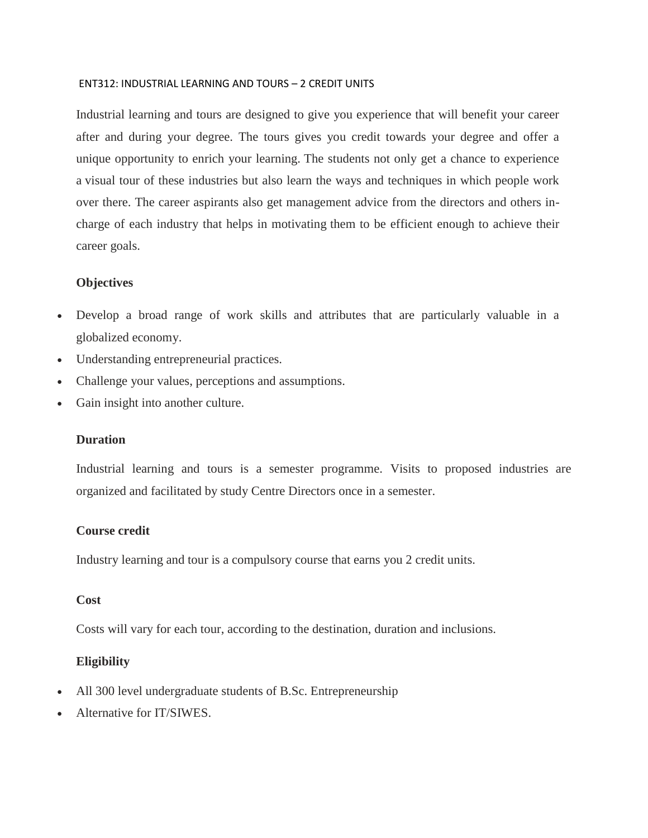#### ENT312: INDUSTRIAL LEARNING AND TOURS – 2 CREDIT UNITS

Industrial learning and tours are designed to give you experience that will benefit your career after and during your degree. The tours gives you credit towards your degree and offer a unique opportunity to enrich your learning. The students not only get a chance to experience a visual tour of these industries but also learn the ways and techniques in which people work over there. The career aspirants also get management advice from the directors and others incharge of each industry that helps in motivating them to be efficient enough to achieve their career goals.

## **Objectives**

- Develop a broad range of work skills and attributes that are particularly valuable in a globalized economy.
- Understanding entrepreneurial practices.
- Challenge your values, perceptions and assumptions.
- Gain insight into another culture.

#### **Duration**

Industrial learning and tours is a semester programme. Visits to proposed industries are organized and facilitated by study Centre Directors once in a semester.

#### **Course credit**

Industry learning and tour is a compulsory course that earns you 2 credit units.

## **Cost**

Costs will vary for each tour, according to the destination, duration and inclusions.

## **Eligibility**

- All 300 level undergraduate students of B.Sc. Entrepreneurship
- Alternative for IT/SIWES.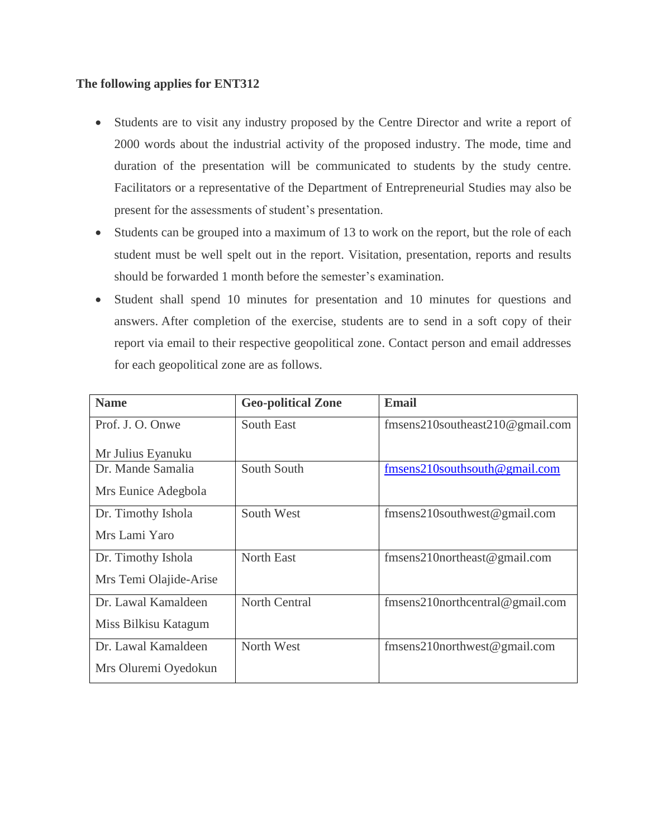## **The following applies for ENT312**

- Students are to visit any industry proposed by the Centre Director and write a report of 2000 words about the industrial activity of the proposed industry. The mode, time and duration of the presentation will be communicated to students by the study centre. Facilitators or a representative of the Department of Entrepreneurial Studies may also be present for the assessments of student's presentation.
- Students can be grouped into a maximum of 13 to work on the report, but the role of each student must be well spelt out in the report. Visitation, presentation, reports and results should be forwarded 1 month before the semester's examination.
- Student shall spend 10 minutes for presentation and 10 minutes for questions and answers. After completion of the exercise, students are to send in a soft copy of their report via email to their respective geopolitical zone. Contact person and email addresses for each geopolitical zone are as follows.

| <b>Name</b>            | <b>Geo-political Zone</b> | <b>Email</b>                         |
|------------------------|---------------------------|--------------------------------------|
| Prof. J. O. Onwe       | South East                | fmsens210southeast210@gmail.com      |
| Mr Julius Eyanuku      |                           |                                      |
| Dr. Mande Samalia      | South South               | fmsens210southsouth@gmail.com        |
| Mrs Eunice Adegbola    |                           |                                      |
| Dr. Timothy Ishola     | South West                | fmsens210southwest@gmail.com         |
| Mrs Lami Yaro          |                           |                                      |
| Dr. Timothy Ishola     | North East                | $fmsens210$ northeast@gmail.com      |
| Mrs Temi Olajide-Arise |                           |                                      |
| Dr. Lawal Kamaldeen    | <b>North Central</b>      | $fmsens210$ northcentral @ gmail.com |
| Miss Bilkisu Katagum   |                           |                                      |
| Dr. Lawal Kamaldeen    | North West                | $fmsens210$ northwest @ gmail.com    |
| Mrs Oluremi Oyedokun   |                           |                                      |